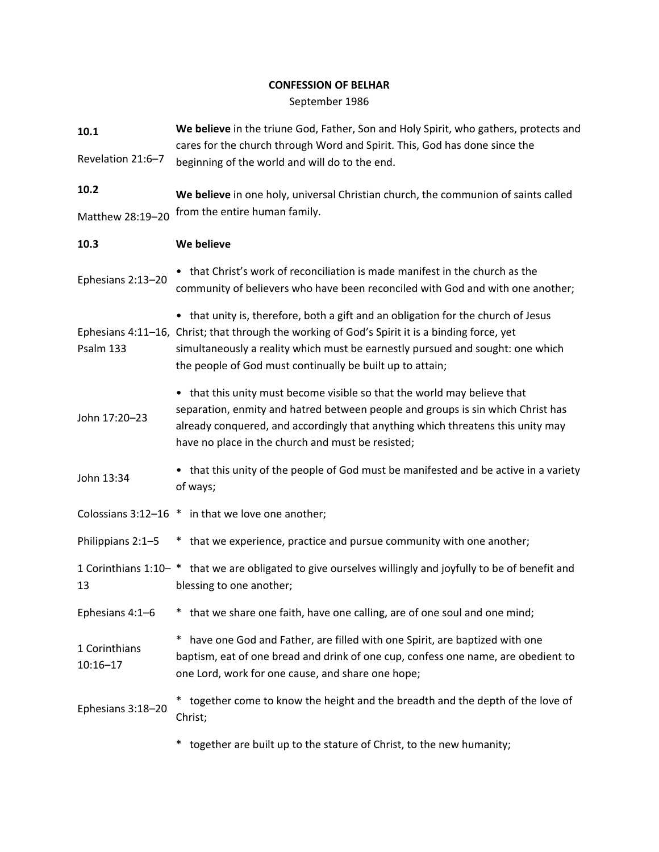## **CONFESSION OF BELHAR**

September 1986

| 10.1                          | We believe in the triune God, Father, Son and Holy Spirit, who gathers, protects and<br>cares for the church through Word and Spirit. This, God has done since the<br>beginning of the world and will do to the end.                                                                                                               |
|-------------------------------|------------------------------------------------------------------------------------------------------------------------------------------------------------------------------------------------------------------------------------------------------------------------------------------------------------------------------------|
| Revelation 21:6-7             |                                                                                                                                                                                                                                                                                                                                    |
| 10.2                          | We believe in one holy, universal Christian church, the communion of saints called<br>from the entire human family.                                                                                                                                                                                                                |
| Matthew 28:19-20              |                                                                                                                                                                                                                                                                                                                                    |
| 10.3                          | We believe                                                                                                                                                                                                                                                                                                                         |
| Ephesians 2:13-20             | • that Christ's work of reconciliation is made manifest in the church as the<br>community of believers who have been reconciled with God and with one another;                                                                                                                                                                     |
| Psalm 133                     | • that unity is, therefore, both a gift and an obligation for the church of Jesus<br>Ephesians 4:11-16, Christ; that through the working of God's Spirit it is a binding force, yet<br>simultaneously a reality which must be earnestly pursued and sought: one which<br>the people of God must continually be built up to attain; |
| John 17:20-23                 | • that this unity must become visible so that the world may believe that<br>separation, enmity and hatred between people and groups is sin which Christ has<br>already conquered, and accordingly that anything which threatens this unity may<br>have no place in the church and must be resisted;                                |
| John 13:34                    | • that this unity of the people of God must be manifested and be active in a variety<br>of ways;                                                                                                                                                                                                                                   |
|                               | Colossians $3:12-16$ * in that we love one another;                                                                                                                                                                                                                                                                                |
| Philippians 2:1-5             | * that we experience, practice and pursue community with one another;                                                                                                                                                                                                                                                              |
| 13                            | 1 Corinthians 1:10- * that we are obligated to give ourselves willingly and joyfully to be of benefit and<br>blessing to one another;                                                                                                                                                                                              |
| Ephesians 4:1-6               | * that we share one faith, have one calling, are of one soul and one mind;                                                                                                                                                                                                                                                         |
| 1 Corinthians<br>$10:16 - 17$ | have one God and Father, are filled with one Spirit, are baptized with one<br>$\ast$<br>baptism, eat of one bread and drink of one cup, confess one name, are obedient to<br>one Lord, work for one cause, and share one hope;                                                                                                     |
| Ephesians 3:18-20             | * together come to know the height and the breadth and the depth of the love of<br>Christ;                                                                                                                                                                                                                                         |
|                               | together are built up to the stature of Christ, to the new humanity;<br>$\ast$                                                                                                                                                                                                                                                     |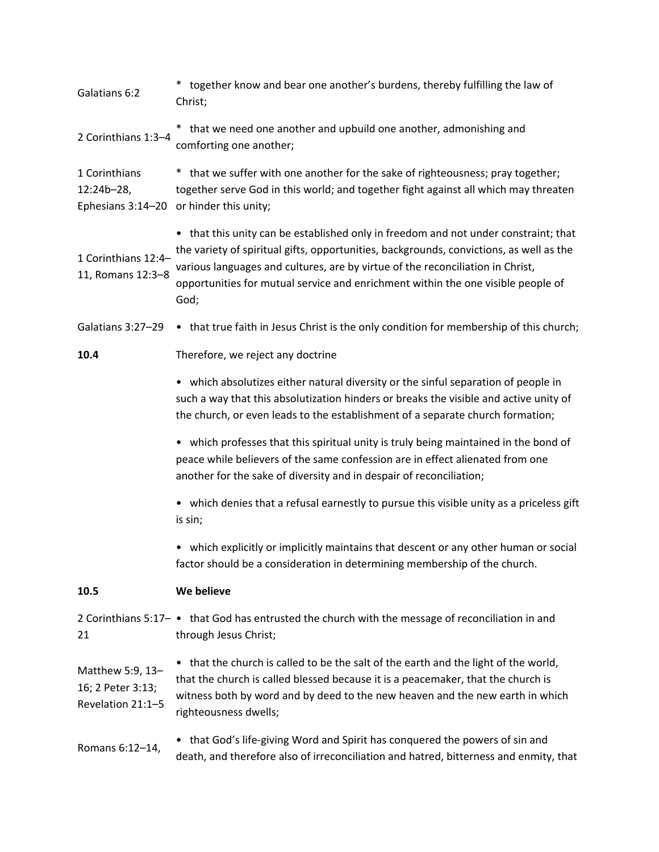| Galatians 6:2                                              | * together know and bear one another's burdens, thereby fulfilling the law of<br>Christ;                                                                                                                                                                                                                                                                     |
|------------------------------------------------------------|--------------------------------------------------------------------------------------------------------------------------------------------------------------------------------------------------------------------------------------------------------------------------------------------------------------------------------------------------------------|
| 2 Corinthians 1:3-4                                        | * that we need one another and upbuild one another, admonishing and<br>comforting one another;                                                                                                                                                                                                                                                               |
| 1 Corinthians<br>12:24b-28,<br>Ephesians 3:14-20           | * that we suffer with one another for the sake of righteousness; pray together;<br>together serve God in this world; and together fight against all which may threaten<br>or hinder this unity;                                                                                                                                                              |
| 1 Corinthians 12:4-<br>11, Romans 12:3-8                   | • that this unity can be established only in freedom and not under constraint; that<br>the variety of spiritual gifts, opportunities, backgrounds, convictions, as well as the<br>various languages and cultures, are by virtue of the reconciliation in Christ,<br>opportunities for mutual service and enrichment within the one visible people of<br>God; |
| Galatians 3:27-29                                          | • that true faith in Jesus Christ is the only condition for membership of this church;                                                                                                                                                                                                                                                                       |
| 10.4                                                       | Therefore, we reject any doctrine                                                                                                                                                                                                                                                                                                                            |
|                                                            | • which absolutizes either natural diversity or the sinful separation of people in<br>such a way that this absolutization hinders or breaks the visible and active unity of<br>the church, or even leads to the establishment of a separate church formation;                                                                                                |
|                                                            | • which professes that this spiritual unity is truly being maintained in the bond of<br>peace while believers of the same confession are in effect alienated from one<br>another for the sake of diversity and in despair of reconciliation;                                                                                                                 |
|                                                            | • which denies that a refusal earnestly to pursue this visible unity as a priceless gift<br>is sin;                                                                                                                                                                                                                                                          |
|                                                            | • which explicitly or implicitly maintains that descent or any other human or social<br>factor should be a consideration in determining membership of the church.                                                                                                                                                                                            |
| 10.5                                                       | We believe                                                                                                                                                                                                                                                                                                                                                   |
| 21                                                         | 2 Corinthians 5:17- • that God has entrusted the church with the message of reconciliation in and<br>through Jesus Christ;                                                                                                                                                                                                                                   |
| Matthew 5:9, 13-<br>16; 2 Peter 3:13;<br>Revelation 21:1-5 | • that the church is called to be the salt of the earth and the light of the world,<br>that the church is called blessed because it is a peacemaker, that the church is<br>witness both by word and by deed to the new heaven and the new earth in which<br>righteousness dwells;                                                                            |
| Romans 6:12-14,                                            | • that God's life-giving Word and Spirit has conquered the powers of sin and<br>death, and therefore also of irreconciliation and hatred, bitterness and enmity, that                                                                                                                                                                                        |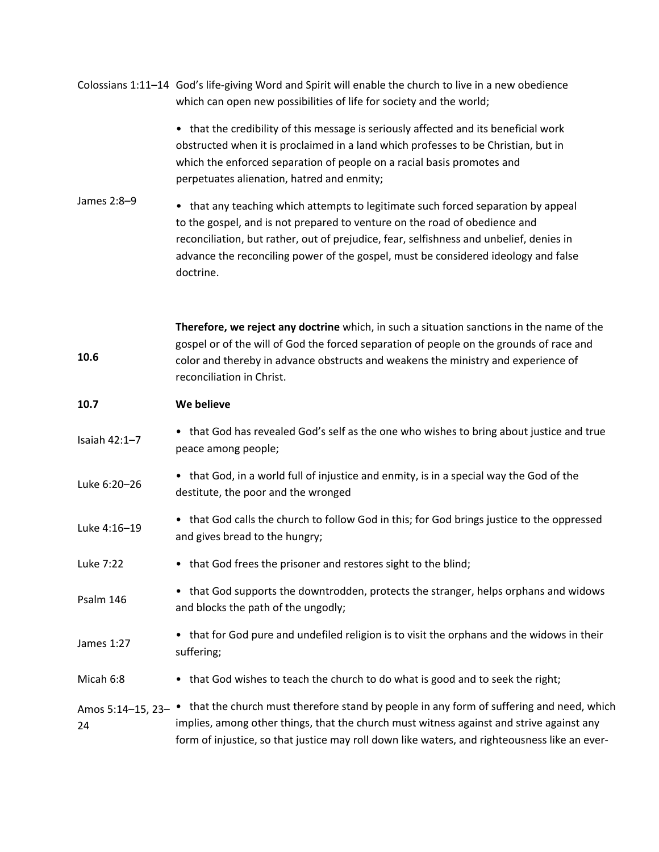| Colossians 1:11–14 God's life-giving Word and Spirit will enable the church to live in a new obedience |
|--------------------------------------------------------------------------------------------------------|
| which can open new possibilities of life for society and the world;                                    |

• that the credibility of this message is seriously affected and its beneficial work obstructed when it is proclaimed in a land which professes to be Christian, but in which the enforced separation of people on a racial basis promotes and perpetuates alienation, hatred and enmity;

James 2:8–9 • that any teaching which attempts to legitimate such forced separation by appeal to the gospel, and is not prepared to venture on the road of obedience and reconciliation, but rather, out of prejudice, fear, selfishness and unbelief, denies in advance the reconciling power of the gospel, must be considered ideology and false doctrine.

**10.6 Therefore, we reject any doctrine** which, in such a situation sanctions in the name of the gospel or of the will of God the forced separation of people on the grounds of race and color and thereby in advance obstructs and weakens the ministry and experience of reconciliation in Christ.

## **10.7 We believe**

- Isaiah 42:1–7 • that God has revealed God's self as the one who wishes to bring about justice and true peace among people;
- Luke 6:20–26 • that God, in a world full of injustice and enmity, is in a special way the God of the destitute, the poor and the wronged
- Luke 4:16–19 • that God calls the church to follow God in this; for God brings justice to the oppressed and gives bread to the hungry;
- Luke 7:22 that God frees the prisoner and restores sight to the blind;
- Psalm 146 • that God supports the downtrodden, protects the stranger, helps orphans and widows and blocks the path of the ungodly;
- James 1:27 • that for God pure and undefiled religion is to visit the orphans and the widows in their suffering;
- Micah 6:8 that God wishes to teach the church to do what is good and to seek the right;

Amos 5:14–15, 23– • that the church must therefore stand by people in any form of suffering and need, which 24 implies, among other things, that the church must witness against and strive against any form of injustice, so that justice may roll down like waters, and righteousness like an ever